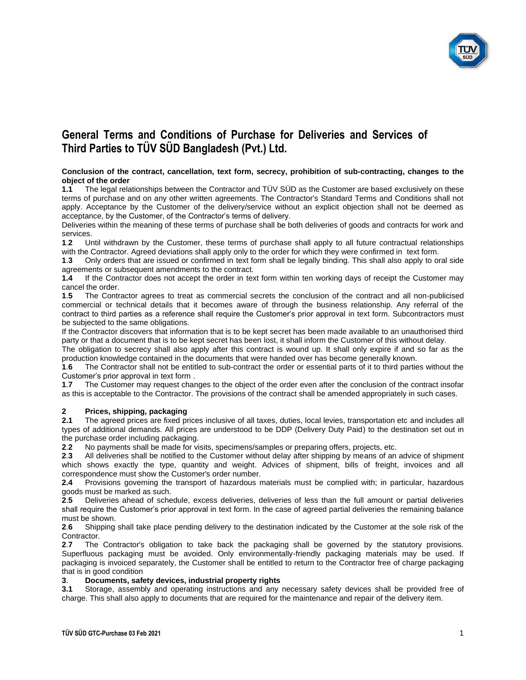

#### **Conclusion of the contract, cancellation, text form, secrecy, prohibition of sub-contracting, changes to the object of the order**

**1.1** The legal relationships between the Contractor and TÜV SÜD as the Customer are based exclusively on these terms of purchase and on any other written agreements. The Contractor's Standard Terms and Conditions shall not apply. Acceptance by the Customer of the delivery/service without an explicit objection shall not be deemed as acceptance, by the Customer, of the Contractor's terms of delivery.

Deliveries within the meaning of these terms of purchase shall be both deliveries of goods and contracts for work and services.

**1**.**2** Until withdrawn by the Customer, these terms of purchase shall apply to all future contractual relationships with the Contractor. Agreed deviations shall apply only to the order for which they were confirmed in text form.

**1**.**3** Only orders that are issued or confirmed in text form shall be legally binding. This shall also apply to oral side agreements or subsequent amendments to the contract.

**1.4** If the Contractor does not accept the order in text form within ten working days of receipt the Customer may cancel the order.

**1**.**5** The Contractor agrees to treat as commercial secrets the conclusion of the contract and all non-publicised commercial or technical details that it becomes aware of through the business relationship. Any referral of the contract to third parties as a reference shall require the Customer's prior approval in text form. Subcontractors must be subjected to the same obligations.

If the Contractor discovers that information that is to be kept secret has been made available to an unauthorised third party or that a document that is to be kept secret has been lost, it shall inform the Customer of this without delay.

The obligation to secrecy shall also apply after this contract is wound up. It shall only expire if and so far as the production knowledge contained in the documents that were handed over has become generally known.

**1**.**6** The Contractor shall not be entitled to sub-contract the order or essential parts of it to third parties without the Customer's prior approval in text form .

**1**.**7** The Customer may request changes to the object of the order even after the conclusion of the contract insofar as this is acceptable to the Contractor. The provisions of the contract shall be amended appropriately in such cases.

## **2 Prices, shipping, packaging**

**2.1** The agreed prices are fixed prices inclusive of all taxes, duties, local levies, transportation etc and includes all types of additional demands. All prices are understood to be DDP (Delivery Duty Paid) to the destination set out in the purchase order including packaging.

**2**.**2** No payments shall be made for visits, specimens/samples or preparing offers, projects, etc.

**2**.**3** All deliveries shall be notified to the Customer without delay after shipping by means of an advice of shipment which shows exactly the type, quantity and weight. Advices of shipment, bills of freight, invoices and all correspondence must show the Customer's order number.

**2.4** Provisions governing the transport of hazardous materials must be complied with; in particular, hazardous goods must be marked as such.

**2**.**5** Deliveries ahead of schedule, excess deliveries, deliveries of less than the full amount or partial deliveries shall require the Customer's prior approval in text form. In the case of agreed partial deliveries the remaining balance must be shown.

**2**.**6** Shipping shall take place pending delivery to the destination indicated by the Customer at the sole risk of the Contractor.

**2**.**7** The Contractor's obligation to take back the packaging shall be governed by the statutory provisions. Superfluous packaging must be avoided. Only environmentally-friendly packaging materials may be used. If packaging is invoiced separately, the Customer shall be entitled to return to the Contractor free of charge packaging that is in good condition

## **3**. **Documents, safety devices, industrial property rights**

**3.1** Storage, assembly and operating instructions and any necessary safety devices shall be provided free of charge. This shall also apply to documents that are required for the maintenance and repair of the delivery item.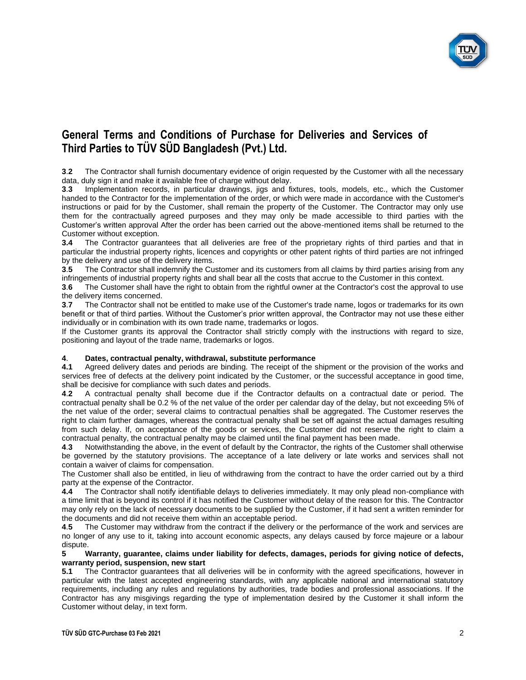

**3**.**2** The Contractor shall furnish documentary evidence of origin requested by the Customer with all the necessary data, duly sign it and make it available free of charge without delay.

**3**.**3** Implementation records, in particular drawings, jigs and fixtures, tools, models, etc., which the Customer handed to the Contractor for the implementation of the order, or which were made in accordance with the Customer's instructions or paid for by the Customer, shall remain the property of the Customer. The Contractor may only use them for the contractually agreed purposes and they may only be made accessible to third parties with the Customer's written approval After the order has been carried out the above-mentioned items shall be returned to the Customer without exception.

**3.4** The Contractor guarantees that all deliveries are free of the proprietary rights of third parties and that in particular the industrial property rights, licences and copyrights or other patent rights of third parties are not infringed by the delivery and use of the delivery items.

**3**.**5** The Contractor shall indemnify the Customer and its customers from all claims by third parties arising from any infringements of industrial property rights and shall bear all the costs that accrue to the Customer in this context.

**3**.**6** The Customer shall have the right to obtain from the rightful owner at the Contractor's cost the approval to use the delivery items concerned.

**3**.**7** The Contractor shall not be entitled to make use of the Customer's trade name, logos or trademarks for its own benefit or that of third parties. Without the Customer's prior written approval, the Contractor may not use these either individually or in combination with its own trade name, trademarks or logos.

If the Customer grants its approval the Contractor shall strictly comply with the instructions with regard to size, positioning and layout of the trade name, trademarks or logos.

### **4**. **Dates, contractual penalty, withdrawal, substitute performance**

**4.1** Agreed delivery dates and periods are binding. The receipt of the shipment or the provision of the works and services free of defects at the delivery point indicated by the Customer, or the successful acceptance in good time, shall be decisive for compliance with such dates and periods.

**4**.**2** A contractual penalty shall become due if the Contractor defaults on a contractual date or period. The contractual penalty shall be 0.2 % of the net value of the order per calendar day of the delay, but not exceeding 5% of the net value of the order; several claims to contractual penalties shall be aggregated. The Customer reserves the right to claim further damages, whereas the contractual penalty shall be set off against the actual damages resulting from such delay. If, on acceptance of the goods or services, the Customer did not reserve the right to claim a contractual penalty, the contractual penalty may be claimed until the final payment has been made.

**4**.**3** Notwithstanding the above, in the event of default by the Contractor, the rights of the Customer shall otherwise be governed by the statutory provisions. The acceptance of a late delivery or late works and services shall not contain a waiver of claims for compensation.

The Customer shall also be entitled, in lieu of withdrawing from the contract to have the order carried out by a third party at the expense of the Contractor.

**4.4** The Contractor shall notify identifiable delays to deliveries immediately. It may only plead non-compliance with a time limit that is beyond its control if it has notified the Customer without delay of the reason for this. The Contractor may only rely on the lack of necessary documents to be supplied by the Customer, if it had sent a written reminder for the documents and did not receive them within an acceptable period.

**4**.**5** The Customer may withdraw from the contract if the delivery or the performance of the work and services are no longer of any use to it, taking into account economic aspects, any delays caused by force majeure or a labour dispute.

#### **5 Warranty, guarantee, claims under liability for defects, damages, periods for giving notice of defects, warranty period, suspension, new start**

**5.1** The Contractor guarantees that all deliveries will be in conformity with the agreed specifications, however in particular with the latest accepted engineering standards, with any applicable national and international statutory requirements, including any rules and regulations by authorities, trade bodies and professional associations. If the Contractor has any misgivings regarding the type of implementation desired by the Customer it shall inform the Customer without delay, in text form.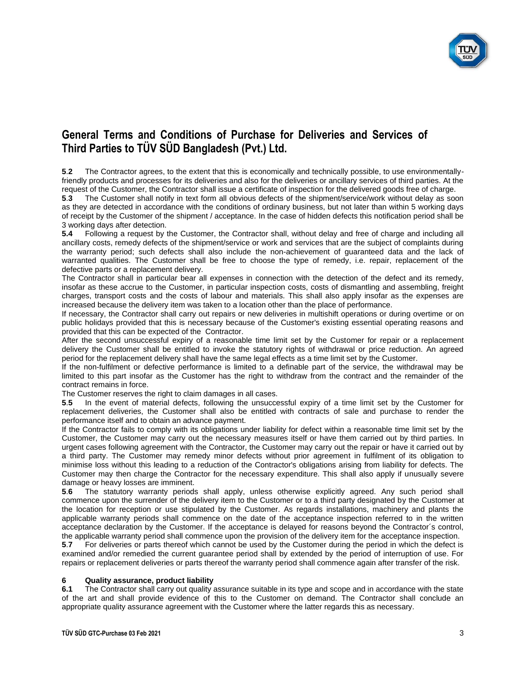

**5**.**2** The Contractor agrees, to the extent that this is economically and technically possible, to use environmentallyfriendly products and processes for its deliveries and also for the deliveries or ancillary services of third parties. At the request of the Customer, the Contractor shall issue a certificate of inspection for the delivered goods free of charge.

**5**.**3** The Customer shall notify in text form all obvious defects of the shipment/service/work without delay as soon as they are detected in accordance with the conditions of ordinary business, but not later than within 5 working days of receipt by the Customer of the shipment / acceptance. In the case of hidden defects this notification period shall be 3 working days after detection.

**5.4** Following a request by the Customer, the Contractor shall, without delay and free of charge and including all ancillary costs, remedy defects of the shipment/service or work and services that are the subject of complaints during the warranty period; such defects shall also include the non-achievement of guaranteed data and the lack of warranted qualities. The Customer shall be free to choose the type of remedy, i.e. repair, replacement of the defective parts or a replacement delivery.

The Contractor shall in particular bear all expenses in connection with the detection of the defect and its remedy, insofar as these accrue to the Customer, in particular inspection costs, costs of dismantling and assembling, freight charges, transport costs and the costs of labour and materials. This shall also apply insofar as the expenses are increased because the delivery item was taken to a location other than the place of performance.

If necessary, the Contractor shall carry out repairs or new deliveries in multishift operations or during overtime or on public holidays provided that this is necessary because of the Customer's existing essential operating reasons and provided that this can be expected of the Contractor.

After the second unsuccessful expiry of a reasonable time limit set by the Customer for repair or a replacement delivery the Customer shall be entitled to invoke the statutory rights of withdrawal or price reduction. An agreed period for the replacement delivery shall have the same legal effects as a time limit set by the Customer.

If the non-fulfilment or defective performance is limited to a definable part of the service, the withdrawal may be limited to this part insofar as the Customer has the right to withdraw from the contract and the remainder of the contract remains in force.

The Customer reserves the right to claim damages in all cases.

**5**.**5** In the event of material defects, following the unsuccessful expiry of a time limit set by the Customer for replacement deliveries, the Customer shall also be entitled with contracts of sale and purchase to render the performance itself and to obtain an advance payment.

If the Contractor fails to comply with its obligations under liability for defect within a reasonable time limit set by the Customer, the Customer may carry out the necessary measures itself or have them carried out by third parties. In urgent cases following agreement with the Contractor, the Customer may carry out the repair or have it carried out by a third party. The Customer may remedy minor defects without prior agreement in fulfilment of its obligation to minimise loss without this leading to a reduction of the Contractor's obligations arising from liability for defects. The Customer may then charge the Contractor for the necessary expenditure. This shall also apply if unusually severe damage or heavy losses are imminent.

**5**.**6** The statutory warranty periods shall apply, unless otherwise explicitly agreed. Any such period shall commence upon the surrender of the delivery item to the Customer or to a third party designated by the Customer at the location for reception or use stipulated by the Customer. As regards installations, machinery and plants the applicable warranty periods shall commence on the date of the acceptance inspection referred to in the written acceptance declaration by the Customer. If the acceptance is delayed for reasons beyond the Contractor´s control, the applicable warranty period shall commence upon the provision of the delivery item for the acceptance inspection.

**5**.**7** For deliveries or parts thereof which cannot be used by the Customer during the period in which the defect is examined and/or remedied the current guarantee period shall by extended by the period of interruption of use. For repairs or replacement deliveries or parts thereof the warranty period shall commence again after transfer of the risk.

## **6 Quality assurance, product liability**

**6.1** The Contractor shall carry out quality assurance suitable in its type and scope and in accordance with the state of the art and shall provide evidence of this to the Customer on demand. The Contractor shall conclude an appropriate quality assurance agreement with the Customer where the latter regards this as necessary.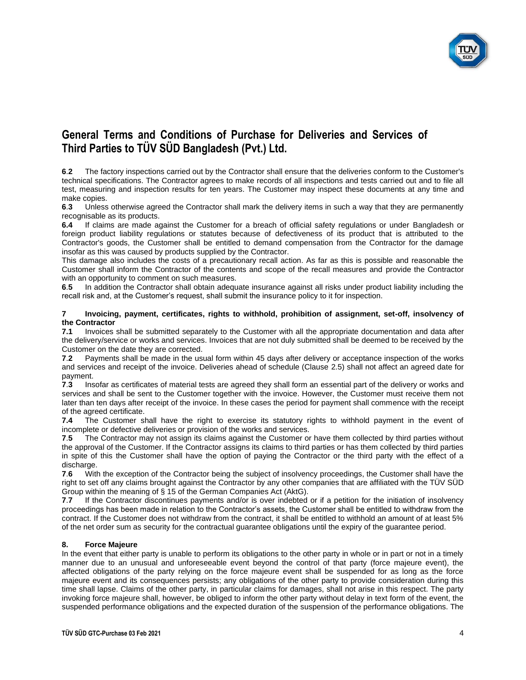

**6**.**2** The factory inspections carried out by the Contractor shall ensure that the deliveries conform to the Customer's technical specifications. The Contractor agrees to make records of all inspections and tests carried out and to file all test, measuring and inspection results for ten years. The Customer may inspect these documents at any time and make copies.<br>6.3 Unless

**6**.**3** Unless otherwise agreed the Contractor shall mark the delivery items in such a way that they are permanently recognisable as its products.

**6.4** If claims are made against the Customer for a breach of official safety regulations or under Bangladesh or foreign product liability regulations or statutes because of defectiveness of its product that is attributed to the Contractor's goods, the Customer shall be entitled to demand compensation from the Contractor for the damage insofar as this was caused by products supplied by the Contractor.

This damage also includes the costs of a precautionary recall action. As far as this is possible and reasonable the Customer shall inform the Contractor of the contents and scope of the recall measures and provide the Contractor with an opportunity to comment on such measures.

**6**.**5** In addition the Contractor shall obtain adequate insurance against all risks under product liability including the recall risk and, at the Customer's request, shall submit the insurance policy to it for inspection.

#### **7 Invoicing, payment, certificates, rights to withhold, prohibition of assignment, set-off, insolvency of the Contractor**

**7.1** Invoices shall be submitted separately to the Customer with all the appropriate documentation and data after the delivery/service or works and services. Invoices that are not duly submitted shall be deemed to be received by the Customer on the date they are corrected.

**7**.**2** Payments shall be made in the usual form within 45 days after delivery or acceptance inspection of the works and services and receipt of the invoice. Deliveries ahead of schedule (Clause 2.5) shall not affect an agreed date for payment.

**7**.**3** Insofar as certificates of material tests are agreed they shall form an essential part of the delivery or works and services and shall be sent to the Customer together with the invoice. However, the Customer must receive them not later than ten days after receipt of the invoice. In these cases the period for payment shall commence with the receipt of the agreed certificate.

**7.4** The Customer shall have the right to exercise its statutory rights to withhold payment in the event of incomplete or defective deliveries or provision of the works and services.

**7**.**5** The Contractor may not assign its claims against the Customer or have them collected by third parties without the approval of the Customer. If the Contractor assigns its claims to third parties or has them collected by third parties in spite of this the Customer shall have the option of paying the Contractor or the third party with the effect of a discharge.

**7**.**6** With the exception of the Contractor being the subject of insolvency proceedings, the Customer shall have the right to set off any claims brought against the Contractor by any other companies that are affiliated with the TÜV SÜD Group within the meaning of § 15 of the German Companies Act (AktG).

**7**.**7** If the Contractor discontinues payments and/or is over indebted or if a petition for the initiation of insolvency proceedings has been made in relation to the Contractor's assets, the Customer shall be entitled to withdraw from the contract. If the Customer does not withdraw from the contract, it shall be entitled to withhold an amount of at least 5% of the net order sum as security for the contractual guarantee obligations until the expiry of the guarantee period.

### **8. Force Majeure**

In the event that either party is unable to perform its obligations to the other party in whole or in part or not in a timely manner due to an unusual and unforeseeable event beyond the control of that party (force majeure event), the affected obligations of the party relying on the force majeure event shall be suspended for as long as the force majeure event and its consequences persists; any obligations of the other party to provide consideration during this time shall lapse. Claims of the other party, in particular claims for damages, shall not arise in this respect. The party invoking force majeure shall, however, be obliged to inform the other party without delay in text form of the event, the suspended performance obligations and the expected duration of the suspension of the performance obligations. The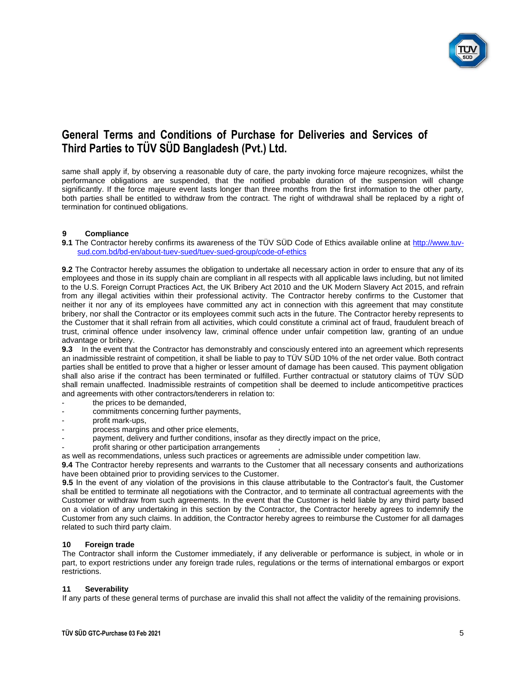

same shall apply if, by observing a reasonable duty of care, the party invoking force majeure recognizes, whilst the performance obligations are suspended, that the notified probable duration of the suspension will change significantly. If the force majeure event lasts longer than three months from the first information to the other party, both parties shall be entitled to withdraw from the contract. The right of withdrawal shall be replaced by a right of termination for continued obligations.

## **9 Compliance**

**9.1** The Contractor hereby confirms its awareness of the TÜV SÜD Code of Ethics available online at [http://www.tuv](http://www.tuv-sud.com.bd/bd-en/about-tuev-sued/tuev-sued-group/code-of-ethics)[sud.com.bd/bd-en/about-tuev-sued/tuev-sued-group/code-of-ethics](http://www.tuv-sud.com.bd/bd-en/about-tuev-sued/tuev-sued-group/code-of-ethics)

**9.2** The Contractor hereby assumes the obligation to undertake all necessary action in order to ensure that any of its employees and those in its supply chain are compliant in all respects with all applicable laws including, but not limited to the U.S. Foreign Corrupt Practices Act, the UK Bribery Act 2010 and the UK Modern Slavery Act 2015, and refrain from any illegal activities within their professional activity. The Contractor hereby confirms to the Customer that neither it nor any of its employees have committed any act in connection with this agreement that may constitute bribery, nor shall the Contractor or its employees commit such acts in the future. The Contractor hereby represents to the Customer that it shall refrain from all activities, which could constitute a criminal act of fraud, fraudulent breach of trust, criminal offence under insolvency law, criminal offence under unfair competition law, granting of an undue advantage or bribery.

**9.3** In the event that the Contractor has demonstrably and consciously entered into an agreement which represents an inadmissible restraint of competition, it shall be liable to pay to TÜV SÜD 10% of the net order value. Both contract parties shall be entitled to prove that a higher or lesser amount of damage has been caused. This payment obligation shall also arise if the contract has been terminated or fulfilled. Further contractual or statutory claims of TÜV SÜD shall remain unaffected. Inadmissible restraints of competition shall be deemed to include anticompetitive practices and agreements with other contractors/tenderers in relation to:

- the prices to be demanded,
- commitments concerning further payments,
- profit mark-ups,
- process margins and other price elements,
- payment, delivery and further conditions, insofar as they directly impact on the price,
- profit sharing or other participation arrangements

as well as recommendations, unless such practices or agreements are admissible under competition law.

**9.4** The Contractor hereby represents and warrants to the Customer that all necessary consents and authorizations have been obtained prior to providing services to the Customer.

**9.5** In the event of any violation of the provisions in this clause attributable to the Contractor's fault, the Customer shall be entitled to terminate all negotiations with the Contractor, and to terminate all contractual agreements with the Customer or withdraw from such agreements. In the event that the Customer is held liable by any third party based on a violation of any undertaking in this section by the Contractor, the Contractor hereby agrees to indemnify the Customer from any such claims. In addition, the Contractor hereby agrees to reimburse the Customer for all damages related to such third party claim.

### **10 Foreign trade**

The Contractor shall inform the Customer immediately, if any deliverable or performance is subject, in whole or in part, to export restrictions under any foreign trade rules, regulations or the terms of international embargos or export restrictions.

### **11 Severability**

If any parts of these general terms of purchase are invalid this shall not affect the validity of the remaining provisions.